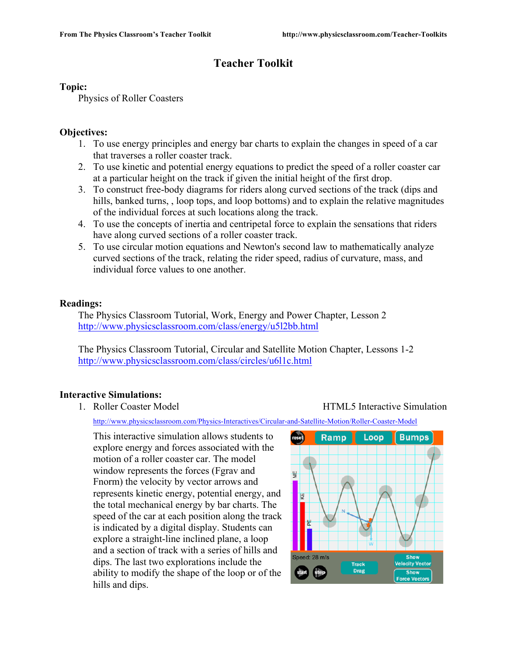## **Teacher Toolkit**

#### **Topic:**

Physics of Roller Coasters

## **Objectives:**

- 1. To use energy principles and energy bar charts to explain the changes in speed of a car that traverses a roller coaster track.
- 2. To use kinetic and potential energy equations to predict the speed of a roller coaster car at a particular height on the track if given the initial height of the first drop.
- 3. To construct free-body diagrams for riders along curved sections of the track (dips and hills, banked turns, , loop tops, and loop bottoms) and to explain the relative magnitudes of the individual forces at such locations along the track.
- 4. To use the concepts of inertia and centripetal force to explain the sensations that riders have along curved sections of a roller coaster track.
- 5. To use circular motion equations and Newton's second law to mathematically analyze curved sections of the track, relating the rider speed, radius of curvature, mass, and individual force values to one another.

## **Readings:**

The Physics Classroom Tutorial, Work, Energy and Power Chapter, Lesson 2 http://www.physicsclassroom.com/class/energy/u5l2bb.html

The Physics Classroom Tutorial, Circular and Satellite Motion Chapter, Lessons 1-2 http://www.physicsclassroom.com/class/circles/u6l1c.html

## **Interactive Simulations:**

1. Roller Coaster Model HTML5 Interactive Simulation

http://www.physicsclassroom.com/Physics-Interactives/Circular-and-Satellite-Motion/Roller-Coaster-Model

This interactive simulation allows students to explore energy and forces associated with the motion of a roller coaster car. The model window represents the forces (Fgrav and Fnorm) the velocity by vector arrows and represents kinetic energy, potential energy, and the total mechanical energy by bar charts. The speed of the car at each position along the track is indicated by a digital display. Students can explore a straight-line inclined plane, a loop and a section of track with a series of hills and dips. The last two explorations include the ability to modify the shape of the loop or of the hills and dips.

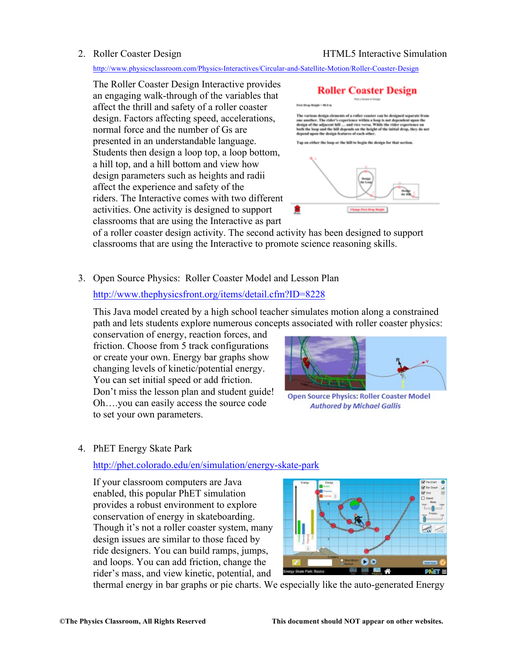#### 2. Roller Coaster Design **HTML5** Interactive Simulation

http://www.physicsclassroom.com/Physics-Interactives/Circular-and-Satellite-Motion/Roller-Coaster-Design

The Roller Coaster Design Interactive provides an engaging walk-through of the variables that affect the thrill and safety of a roller coaster design. Factors affecting speed, accelerations, normal force and the number of Gs are presented in an understandable language. Students then design a loop top, a loop bottom, a hill top, and a hill bottom and view how design parameters such as heights and radii affect the experience and safety of the riders. The Interactive comes with two different activities. One activity is designed to support classrooms that are using the Interactive as part



of a roller coaster design activity. The second activity has been designed to support classrooms that are using the Interactive to promote science reasoning skills.

3. Open Source Physics: Roller Coaster Model and Lesson Plan

#### http://www.thephysicsfront.org/items/detail.cfm?ID=8228

This Java model created by a high school teacher simulates motion along a constrained path and lets students explore numerous concepts associated with roller coaster physics:

conservation of energy, reaction forces, and friction. Choose from 5 track configurations or create your own. Energy bar graphs show changing levels of kinetic/potential energy. You can set initial speed or add friction. Don't miss the lesson plan and student guide! Oh….you can easily access the source code to set your own parameters.



**Open Source Physics: Roller Coaster Model Authored by Michael Gallis** 

## 4. PhET Energy Skate Park

#### http://phet.colorado.edu/en/simulation/energy-skate-park

If your classroom computers are Java enabled, this popular PhET simulation provides a robust environment to explore conservation of energy in skateboarding. Though it's not a roller coaster system, many design issues are similar to those faced by ride designers. You can build ramps, jumps, and loops. You can add friction, change the rider's mass, and view kinetic, potential, and



thermal energy in bar graphs or pie charts. We especially like the auto-generated Energy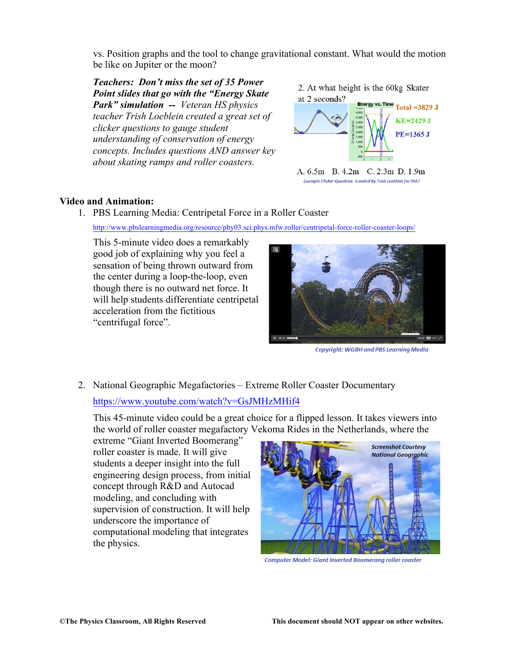vs. Position graphs and the tool to change gravitational constant. What would the motion be like on Jupiter or the moon?

*Teachers: Don't miss the set of 35 Power Point slides that go with the "Energy Skate Park" simulation -- Veteran HS physics teacher Trish Loeblein created a great set of clicker questions to gauge student understanding of conservation of energy concepts. Includes questions AND answer key about skating ramps and roller coasters.*

2. At what height is the 60kg Skater



A. 6.5m B. 4.2m C. 2.3m D. 1.9m **Example Clicker Question: Created by Trish Loeblein for PhET** 

#### **Video and Animation:**

1. PBS Learning Media: Centripetal Force in a Roller Coaster

http://www.pbslearningmedia.org/resource/phy03.sci.phys.mfw.roller/centripetal-force-roller-coaster-loops/

This 5-minute video does a remarkably good job of explaining why you feel a sensation of being thrown outward from the center during a loop-the-loop, even though there is no outward net force. It will help students differentiate centripetal acceleration from the fictitious "centrifugal force".



**Copyright: WGBH and PBS Learning Media** 

2. National Geographic Megafactories – Extreme Roller Coaster Documentary https://www.youtube.com/watch?v=GsJMHzMHif4

This 45-minute video could be a great choice for a flipped lesson. It takes viewers into the world of roller coaster megafactory Vekoma Rides in the Netherlands, where the

extreme "Giant Inverted Boomerang" roller coaster is made. It will give students a deeper insight into the full engineering design process, from initial concept through R&D and Autocad modeling, and concluding with supervision of construction. It will help underscore the importance of computational modeling that integrates the physics.



**Computer Model: Giant Inverted Boomerang roller coaster**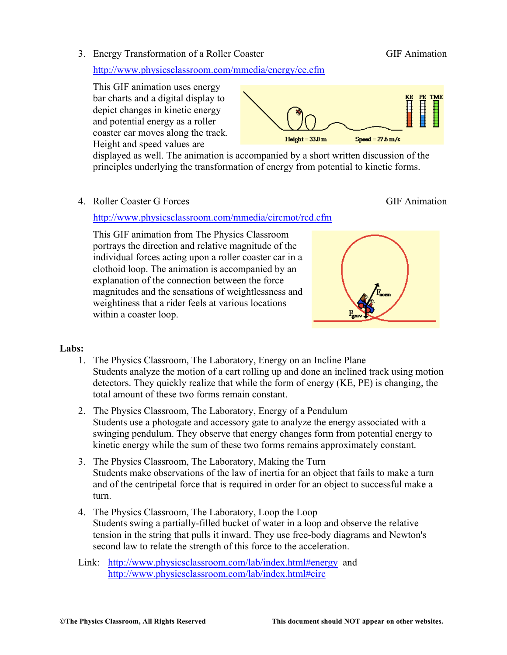3. Energy Transformation of a Roller Coaster GIF Animation

http://www.physicsclassroom.com/mmedia/energy/ce.cfm

This GIF animation uses energy bar charts and a digital display to depict changes in kinetic energy and potential energy as a roller coaster car moves along the track. Height and speed values are



displayed as well. The animation is accompanied by a short written discussion of the principles underlying the transformation of energy from potential to kinetic forms.

4. Roller Coaster G Forces GIF Animation

#### http://www.physicsclassroom.com/mmedia/circmot/rcd.cfm

This GIF animation from The Physics Classroom portrays the direction and relative magnitude of the individual forces acting upon a roller coaster car in a clothoid loop. The animation is accompanied by an explanation of the connection between the force magnitudes and the sensations of weightlessness and weightiness that a rider feels at various locations within a coaster loop.



#### **Labs:**

- 1. The Physics Classroom, The Laboratory, Energy on an Incline Plane Students analyze the motion of a cart rolling up and done an inclined track using motion detectors. They quickly realize that while the form of energy (KE, PE) is changing, the total amount of these two forms remain constant.
- 2. The Physics Classroom, The Laboratory, Energy of a Pendulum Students use a photogate and accessory gate to analyze the energy associated with a swinging pendulum. They observe that energy changes form from potential energy to kinetic energy while the sum of these two forms remains approximately constant.
- 3. The Physics Classroom, The Laboratory, Making the Turn Students make observations of the law of inertia for an object that fails to make a turn and of the centripetal force that is required in order for an object to successful make a turn.
- 4. The Physics Classroom, The Laboratory, Loop the Loop Students swing a partially-filled bucket of water in a loop and observe the relative tension in the string that pulls it inward. They use free-body diagrams and Newton's second law to relate the strength of this force to the acceleration.
- Link: http://www.physicsclassroom.com/lab/index.html#energy and http://www.physicsclassroom.com/lab/index.html#circ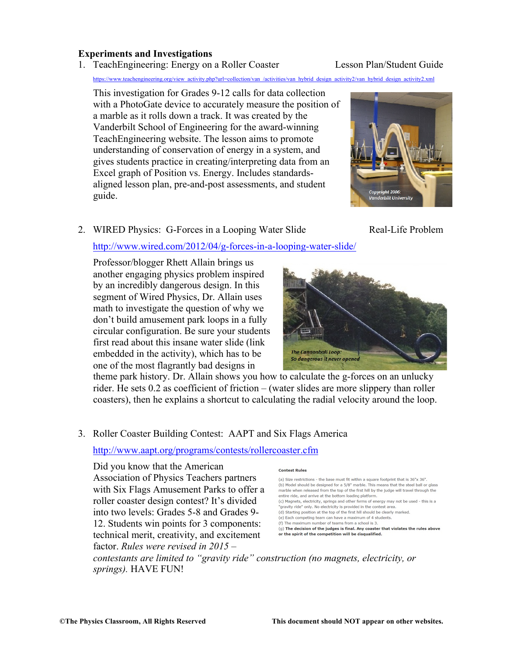#### **Experiments and Investigations**

# 1. TeachEngineering: Energy on a Roller Coaster Lesson Plan/Student Guide

ww.teachengineering.org/view\_activity.php?url=collection/van\_/activities/van\_hybrid\_design\_activity2/van\_hybrid\_design\_activity2.xml

This investigation for Grades 9-12 calls for data collection with a PhotoGate device to accurately measure the position of a marble as it rolls down a track. It was created by the Vanderbilt School of Engineering for the award-winning TeachEngineering website. The lesson aims to promote understanding of conservation of energy in a system, and gives students practice in creating/interpreting data from an Excel graph of Position vs. Energy. Includes standardsaligned lesson plan, pre-and-post assessments, and student guide.

# 2. WIRED Physics: G-Forces in a Looping Water Slide Real-Life Problem

#### http://www.wired.com/2012/04/g-forces-in-a-looping-water-slide/

Professor/blogger Rhett Allain brings us another engaging physics problem inspired by an incredibly dangerous design. In this segment of Wired Physics, Dr. Allain uses math to investigate the question of why we don't build amusement park loops in a fully circular configuration. Be sure your students first read about this insane water slide (link embedded in the activity), which has to be one of the most flagrantly bad designs in



theme park history. Dr. Allain shows you how to calculate the g-forces on an unlucky rider. He sets 0.2 as coefficient of friction – (water slides are more slippery than roller coasters), then he explains a shortcut to calculating the radial velocity around the loop.

## 3. Roller Coaster Building Contest: AAPT and Six Flags America

#### http://www.aapt.org/programs/contests/rollercoaster.cfm

Did you know that the American Association of Physics Teachers partners with Six Flags Amusement Parks to offer a roller coaster design contest? It's divided into two levels: Grades 5-8 and Grades 9- 12. Students win points for 3 components: technical merit, creativity, and excitement factor. *Rules were revised in 2015 –*

#### **Contest Rules**

(a) Size restrictions - the base must fit within a square footprint that is 36"x 36". (b) Model should be designed for a 5/8" marble. This means that the steel ball or glass marble when released from the top of the first hill by the judge will travel through the entire ride, and arrive at the bottom loading platform. (c) Magnets, electricity, springs and other forms of energy may not be used - this is a "gravity ride" only. No electricity is provided in the contest area. (d) Starting position at the top of the first hill should be clearly marked. (e) Each competing team can have a maximum of 4 students. (f) The maximum number of teams from a school is 3. (g) The decision of the judges is final. Any coaster that violates the rules above or the spirit of the competition will be disqualified.

*contestants are limited to "gravity ride" construction (no magnets, electricity, or springs).* HAVE FUN!

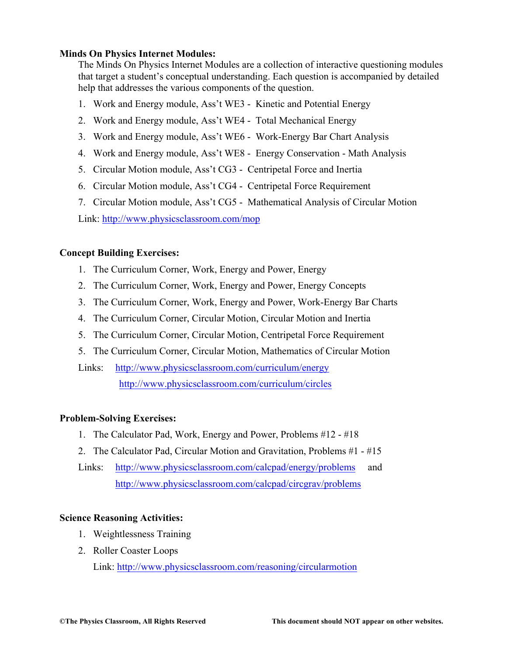#### **Minds On Physics Internet Modules:**

The Minds On Physics Internet Modules are a collection of interactive questioning modules that target a student's conceptual understanding. Each question is accompanied by detailed help that addresses the various components of the question.

- 1. Work and Energy module, Ass't WE3 Kinetic and Potential Energy
- 2. Work and Energy module, Ass't WE4 Total Mechanical Energy
- 3. Work and Energy module, Ass't WE6 Work-Energy Bar Chart Analysis
- 4. Work and Energy module, Ass't WE8 Energy Conservation Math Analysis
- 5. Circular Motion module, Ass't CG3 Centripetal Force and Inertia
- 6. Circular Motion module, Ass't CG4 Centripetal Force Requirement
- 7. Circular Motion module, Ass't CG5 Mathematical Analysis of Circular Motion

Link: http://www.physicsclassroom.com/mop

## **Concept Building Exercises:**

- 1. The Curriculum Corner, Work, Energy and Power, Energy
- 2. The Curriculum Corner, Work, Energy and Power, Energy Concepts
- 3. The Curriculum Corner, Work, Energy and Power, Work-Energy Bar Charts
- 4. The Curriculum Corner, Circular Motion, Circular Motion and Inertia
- 5. The Curriculum Corner, Circular Motion, Centripetal Force Requirement
- 5. The Curriculum Corner, Circular Motion, Mathematics of Circular Motion
- Links: http://www.physicsclassroom.com/curriculum/energy http://www.physicsclassroom.com/curriculum/circles

## **Problem-Solving Exercises:**

- 1. The Calculator Pad, Work, Energy and Power, Problems #12 #18
- 2. The Calculator Pad, Circular Motion and Gravitation, Problems #1 #15
- Links: http://www.physicsclassroom.com/calcpad/energy/problems and http://www.physicsclassroom.com/calcpad/circgrav/problems

## **Science Reasoning Activities:**

- 1. Weightlessness Training
- 2. Roller Coaster Loops

Link: http://www.physicsclassroom.com/reasoning/circularmotion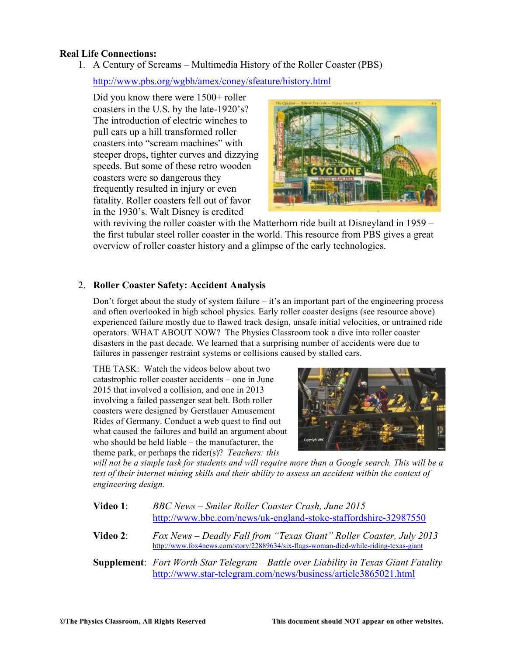#### **Real Life Connections:**

1. A Century of Screams – Multimedia History of the Roller Coaster (PBS)

http://www.pbs.org/wgbh/amex/coney/sfeature/history.html

Did you know there were  $1500+$  roller coasters in the U.S. by the late-1920's? The introduction of electric winches to pull cars up a hill transformed roller coasters into "scream machines" with steeper drops, tighter curves and dizzying speeds. But some of these retro wooden coasters were so dangerous they frequently resulted in injury or even fatality. Roller coasters fell out of favor in the 1930's. Walt Disney is credited



with reviving the roller coaster with the Matterhorn ride built at Disneyland in 1959 – the first tubular steel roller coaster in the world. This resource from PBS gives a great overview of roller coaster history and a glimpse of the early technologies.

## 2. **Roller Coaster Safety: Accident Analysis**

Don't forget about the study of system failure  $-i$  is an important part of the engineering process and often overlooked in high school physics. Early roller coaster designs (see resource above) experienced failure mostly due to flawed track design, unsafe initial velocities, or untrained ride operators. WHAT ABOUT NOW? The Physics Classroom took a dive into roller coaster disasters in the past decade. We learned that a surprising number of accidents were due to failures in passenger restraint systems or collisions caused by stalled cars.

THE TASK: Watch the videos below about two catastrophic roller coaster accidents – one in June 2015 that involved a collision, and one in 2013 involving a failed passenger seat belt. Both roller coasters were designed by Gerstlauer Amusement Rides of Germany. Conduct a web quest to find out what caused the failures and build an argument about who should be held liable – the manufacturer, the theme park, or perhaps the rider(s)? *Teachers: this* 



*will not be a simple task for students and will require more than a Google search. This will be a test of their internet mining skills and their ability to assess an accident within the context of engineering design.* 

| Video 1: | BBC News – Smiler Roller Coaster Crash, June 2015<br>http://www.bbc.com/news/uk-england-stoke-staffordshire-32987550                                        |
|----------|-------------------------------------------------------------------------------------------------------------------------------------------------------------|
| Video 2: | Fox News – Deadly Fall from "Texas Giant" Roller Coaster, July 2013<br>http://www.fox4news.com/story/22889634/six-flags-woman-died-while-riding-texas-giant |

**Supplement**: *Fort Worth Star Telegram – Battle over Liability in Texas Giant Fatality* http://www.star-telegram.com/news/business/article3865021.html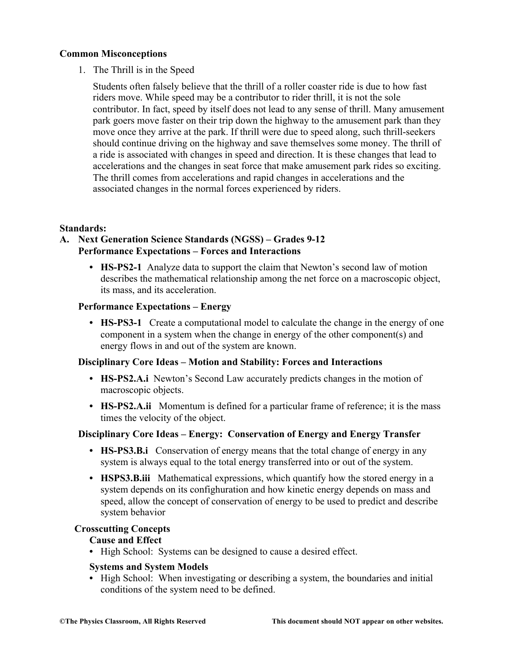#### **Common Misconceptions**

1. The Thrill is in the Speed

Students often falsely believe that the thrill of a roller coaster ride is due to how fast riders move. While speed may be a contributor to rider thrill, it is not the sole contributor. In fact, speed by itself does not lead to any sense of thrill. Many amusement park goers move faster on their trip down the highway to the amusement park than they move once they arrive at the park. If thrill were due to speed along, such thrill-seekers should continue driving on the highway and save themselves some money. The thrill of a ride is associated with changes in speed and direction. It is these changes that lead to accelerations and the changes in seat force that make amusement park rides so exciting. The thrill comes from accelerations and rapid changes in accelerations and the associated changes in the normal forces experienced by riders.

#### **Standards:**

#### **A. Next Generation Science Standards (NGSS) – Grades 9-12 Performance Expectations – Forces and Interactions**

**• HS-PS2-1** Analyze data to support the claim that Newton's second law of motion describes the mathematical relationship among the net force on a macroscopic object, its mass, and its acceleration.

#### **Performance Expectations – Energy**

**• HS-PS3-1** Create a computational model to calculate the change in the energy of one component in a system when the change in energy of the other component(s) and energy flows in and out of the system are known.

#### **Disciplinary Core Ideas – Motion and Stability: Forces and Interactions**

- **• HS-PS2.A.i** Newton's Second Law accurately predicts changes in the motion of macroscopic objects.
- **HS-PS2.A.ii** Momentum is defined for a particular frame of reference; it is the mass times the velocity of the object.

#### **Disciplinary Core Ideas – Energy: Conservation of Energy and Energy Transfer**

- **• HS-PS3.B.i** Conservation of energy means that the total change of energy in any system is always equal to the total energy transferred into or out of the system.
- **• HSPS3.B.iii** Mathematical expressions, which quantify how the stored energy in a system depends on its confighuration and how kinetic energy depends on mass and speed, allow the concept of conservation of energy to be used to predict and describe system behavior

#### **Crosscutting Concepts**

#### **Cause and Effect**

**•** High School: Systems can be designed to cause a desired effect.

#### **Systems and System Models**

• High School: When investigating or describing a system, the boundaries and initial conditions of the system need to be defined.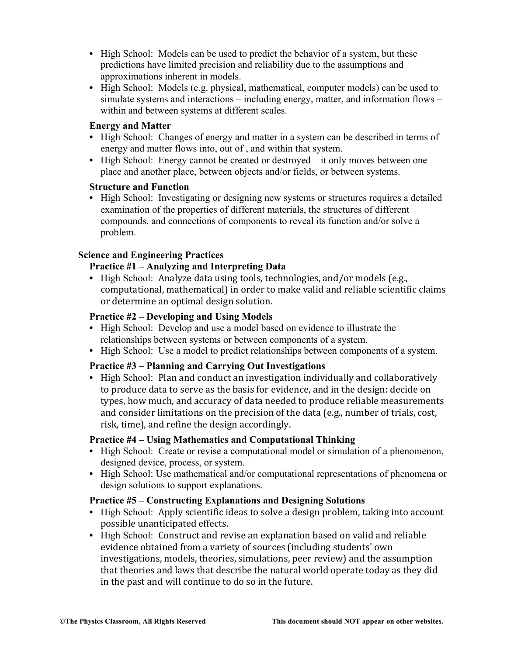- **•** High School: Models can be used to predict the behavior of a system, but these predictions have limited precision and reliability due to the assumptions and approximations inherent in models.
- **•** High School: Models (e.g. physical, mathematical, computer models) can be used to simulate systems and interactions – including energy, matter, and information flows – within and between systems at different scales.

#### **Energy and Matter**

- High School: Changes of energy and matter in a system can be described in terms of energy and matter flows into, out of , and within that system.
- **•** High School: Energy cannot be created or destroyed it only moves between one place and another place, between objects and/or fields, or between systems.

#### **Structure and Function**

• High School: Investigating or designing new systems or structures requires a detailed examination of the properties of different materials, the structures of different compounds, and connections of components to reveal its function and/or solve a problem.

## **Science and Engineering Practices**

## **Practice #1 – Analyzing and Interpreting Data**

• High School: Analyze data using tools, technologies, and/or models (e.g., computational, mathematical) in order to make valid and reliable scientific claims or determine an optimal design solution.

## **Practice #2 – Developing and Using Models**

- **•** High School: Develop and use a model based on evidence to illustrate the relationships between systems or between components of a system.
- **•** High School: Use a model to predict relationships between components of a system.

## **Practice #3 – Planning and Carrying Out Investigations**

• High School: Plan and conduct an investigation individually and collaboratively to produce data to serve as the basis for evidence, and in the design: decide on types, how much, and accuracy of data needed to produce reliable measurements and consider limitations on the precision of the data (e.g., number of trials, cost, risk, time), and refine the design accordingly.

## **Practice #4 – Using Mathematics and Computational Thinking**

- High School: Create or revise a computational model or simulation of a phenomenon, designed device, process, or system.
- **•** High School: Use mathematical and/or computational representations of phenomena or design solutions to support explanations.

## **Practice #5 – Constructing Explanations and Designing Solutions**

- High School: Apply scientific ideas to solve a design problem, taking into account possible unanticipated effects.
- High School: Construct and revise an explanation based on valid and reliable evidence obtained from a variety of sources (including students' own investigations, models, theories, simulations, peer review) and the assumption that theories and laws that describe the natural world operate today as they did in the past and will continue to do so in the future.